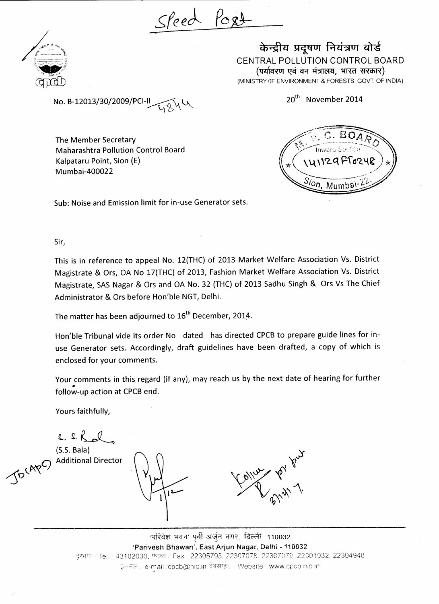Sleed Post



केन्द्रीय प्रदूषण नियंत्रण बोर्ड CENTRAL POLLUTION CONTROL BOARD (पर्यावरण एवं वन मंत्रालय, भारत सरकार) (MINISTRY OF ENVIRONMENT & FORESTS, GOVT. OF INDIA)

20<sup>th</sup> November 2014

No. B-12013/30/2009/PCI-ll

The Member Secretary Maharashtra Pollution Control Board Kalpataru Point, Sion (E) Mumbai-400022



Sub: Noise and Emission limit for in-use Generator sets.

Sir,

This is in reference to appeal No. 12(THC) of 2013 Market Welfare Association Vs. District Magistrate & Ors, OA No 17(THC) of 2013, Fashion Market Welfare Association Vs. District Magistrate, SAS Nagar & Ors and OA No. 32 (THC) of 2013 Sadhu Singh & Ors Vs The Chief Administrator & Ors before Hon'ble NGT, Delhi.

The matter has been adjourned to 16<sup>th</sup> December, 2014.

Hon'ble Tribunal vide its order No dated has directed CPCB to prepare guide lines for inuse Generator sets. Accordingly, draft guidelines have been drafted, a copy of which is enclosed for your comments.

Your comments in this regard (if any), may reach us by the next date of hearing for further follow-up action at CPCB end.

Yours faithfully,

 $2.2.2$ 

Jocape)

(S.S. Bala) Additional Director

<u>'परिवेश भवन' पर्वी अर्जन नगर, दिल्ली-110032</u> **'Parivesh Bhawan', East Arjun Nagar, Delhi -110032** दरभाष : Tel. : 43102030, फेक्स / Fax : 22305793, 22307078. 22307079. 22301932, 22304948 इं–मेल⊹ e-mail :cpcb@nic.in वेबसाइंट · Website : www.cpcb.nic.in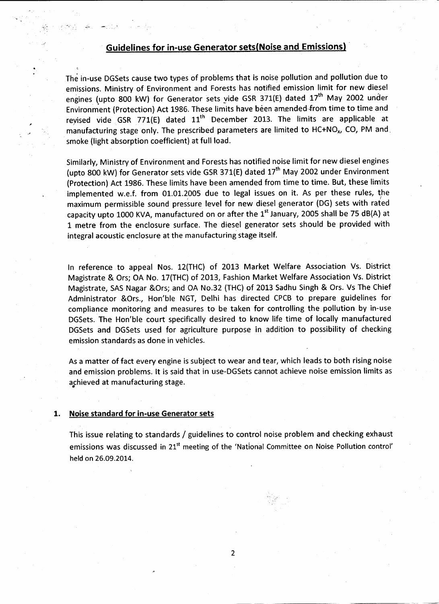### **Guidelines for in-use Generator setsfNoise and Emissions)**

The in-use DGSets cause two types of problems that is noise pollution and pollution due to emissions. Ministry of Environment and Forests has notified emission limit for new diesel engines (upto 800 kW) for Generator sets vide GSR 371(E) dated 17<sup>th</sup> May 2002 under Environment (Protection) Act 1986. These limits have been amended -from time to time and revised vide GSR 771(E) dated  $11<sup>th</sup>$  December 2013. The limits are applicable at manufacturing stage only. The prescribed parameters are limited to  $HC+NO<sub>x</sub>$ , CO, PM and smoke (light absorption coefficient) at full load.

Similarly, Ministry of Environment and Forests has notified noise limit for new diesel engines (upto 800 kW) for Generator sets vide GSR 371(E) dated 17<sup>th</sup> May 2002 under Environment (Protection) Act 1986. These limits have been amended from time to time. But, these limits implemented w.e.f. from 01.01.2005 due to legal issues on it. As per these rules, the maximum permissible sound pressure level for new diesel generator (DG) sets with rated capacity upto 1000 KVA, manufactured on or after the  $1<sup>st</sup>$  January, 2005 shall be 75 dB(A) at 1 metre from the enclosure surface. The diesel generator sets should be provided with integral acoustic enclosure at the manufacturing stage itself.

In reference to appeal Nos. 12(THC) of 2013 Market Welfare Association Vs. District Magistrate & Ors; OA No. 17(THC) of 2013, Fashion Market Welfare Association Vs. District Magistrate, SAS Nagar &Ors; and OA No.32 (THC) of 2013 Sadhu Singh & Ors. Vs The Chief Administrator &0rs., Hon'ble NGT, Delhi has directed CPCB to prepare guidelines for compliance monitoring and measures to be taken for controlling the pollution by in-use DGSets. The Hon'ble court specifically desired to know life time of locally manufactured DGSets and DGSets used for agriculture purpose in addition to possibility of checking emission standards as done in vehicles.

As a matter of fact every engine is subject to wear and tear, which leads to both rising noise and emission problems. It is said that in use-DGSets cannot achieve noise emission limits as achieved at manufacturing stage.

#### **1. Noise standard for in-use Generator sets**

This issue relating to standards / guidelines to control noise problem and checking exhaust emissions was discussed in 21<sup>st</sup> meeting of the 'National Committee on Noise Pollution control' held on 26.09.2014.

 $\overline{2}$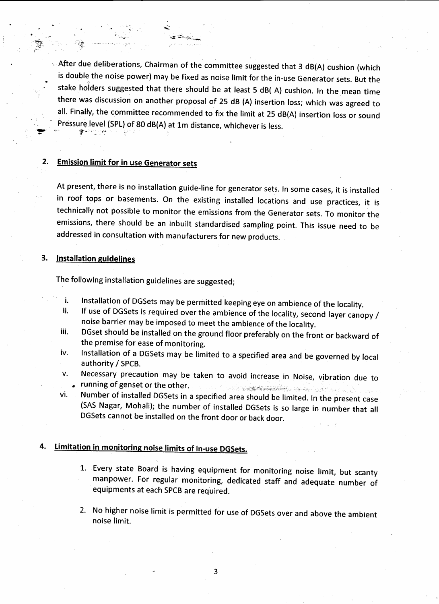$\sim$  After due deliberations, Chairman of the committee suggested that 3 dB(A) cushion (which is double the noise power) may be fixed as noise limit for the in-use Generator sets. But the stake holders suggested that there should be at least 5 dB( A) cushion. In the mean time there was discussion on another proposal of 25 dB (A) insertion loss; which was agreed to all. Finally, the committee recommended to fix the limit at 25 dB(A) insertion loss or sound Pressure level (SPL) of 80 dB(A) at 1m distance, whichever is less. بموار والحجج

### **2. Emission limit for in use Generator sets**

At present, there is no installation guide-line for generator sets. In some cases, it is installed in roof tops or basements. On the existing installed locations and use practices, it is technically not possible to monitor the emissions from the Generator sets. To monitor the emissions, there should be an inbuilt standardised sampling point. This issue need to be addressed in consultation with manufacturers for new products.

#### **3. Installation guidelines**

The following installation guidelines are suggested;

- Installation of DGSets may be permitted keeping eye on ambience of the locality. i.
- If use of DGSets is required over the ambience of the locality, second layer canopy / ii. noise barrier may be imposed to meet the ambience of the locality,
- iii. DGset should be installed on the ground floor preferably on the front or backward of the premise for ease of monitoring,
- iv. Installation of a DGSets may be limited to a specified area and be governed by local authority/SPCB.
- v. Necessary precaution may be taken to avoid increase in Noise, vibration due to<br>. running of genset or the other.
- vi. Number of installed DGSets in a specified area should be limited. In the present case (SAS Nagar, Mohali); the number of installed DGSets is so large in number that all DGSets cannot be installed on the front door or back door.

### **4. Limitation in monitoring noise limits of in-use DGSets.**

- 1. Every state Board is having equipment for monitoring noise limit, but scanty manpower. For regular monitoring, dedicated staff and adequate number of equipments at each SPCB are required.
- 2. No higher noise limit is permitted for use of DGSets over and above the ambient noise limit.

3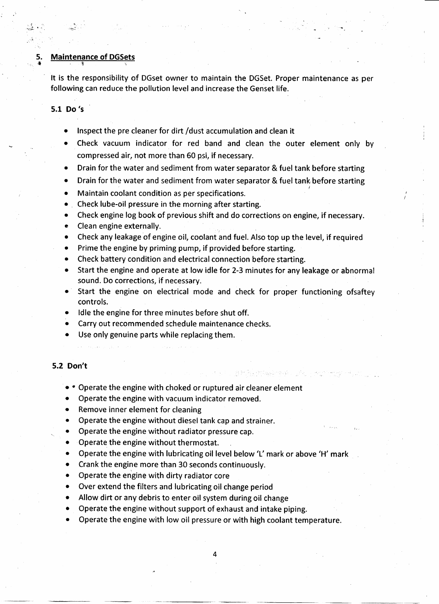# 5. Maintenance of DGSets

It is the responsibility of DGset owner to maintain the DGSet. Proper maintenance as per following can reduce the pollution level and increase the Genset life.

#### 5.1 Do's

두고 나오

- Inspect the pre cleaner for dirt /dust accumulation and clean it  $\bullet$
- Check vacuum indicator for red band and clean the outer element only by compressed air, not more than 60 psi, if necessary.
- Drain for the water and sediment from water separator & fuel tank before starting
- Drain for the water and sediment from water separator & fuel tank before starting /
- Maintain coolant condition as per specifications.  $\bullet$
- Check lube-oil pressure in the morning after starting.  $\bullet$
- Check engine log book of previous shift and do corrections on engine, if necessary.  $\bullet$
- Clean engine externally.  $\bullet$
- Check any leakage of engine oil, coolant and fuel. Also top up the level, if required  $\bullet$
- Prime the engine by priming pump, if provided before starting.
- Check battery condition and electrical connection before starting.  $\bullet$
- Start the engine and operate at low idle for 2-3 minutes for any leakage or abnormal sound. Do corrections, if necessary.
- Start the engine on electrical mode and check for proper functioning ofsaftey controls.

وجودا تهجر المراجين الأوجه فيها

- $\bullet$  Idle the engine for three minutes before shut off.
- Carry out recommended schedule maintenance checks.
- Use only genuine parts while replacing them.
- **5.2 Don't**
	- \* Operate the engine with choked or ruptured air cleaner element
	- Operate the engine with vacuum indicator removed.
	- Remove inner element for cleaning
	- Operate the engine without diesel tank cap and strainer.
	- Operate the engine without radiator pressure cap.
	- Operate the engine without thermostat.
	- Operate the engine with lubricating oil level below 'L' mark or above 'H' mark
	- Crank the engine more than 30 seconds continuously.
	- Operate the engine with dirty radiator core
	- Over extend the filters and lubricating oil change period
	- Allow dirt or any debris to enter oil system during oil change
	- Operate the engine without support of exhaust and intake piping.
	- Operate the engine with low oil pressure or with high coolant temperature.

4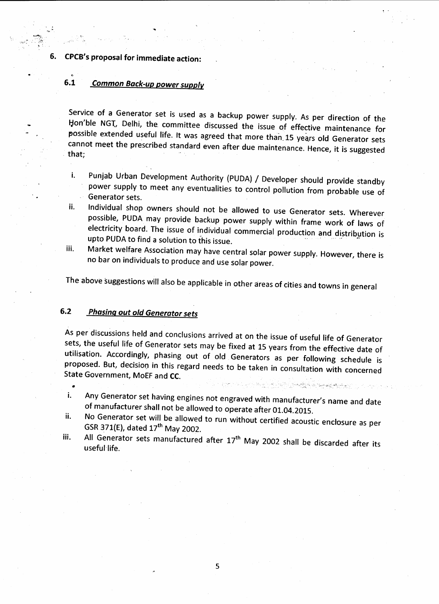**6. CPCB's proposal for immediate action:**

### **6.1 Common Back-up power supply**

Service of a Generator set is used as a backup power supply. As per direction of the Hon'ble NGI, Delhi, the committee discussed the issue of effective maintenance for possible extended useful life. It was agreed that more than, 15 years old Generator sets cannot meet the prescribed standard even after due maintenance years old defierator sets.  $hat:$ 

i. Punjab Urban Development Authority (PUDA) / Developer should provide standby power supply to meet any eventualities to control pollution from probable use of Generator sets.

- ii. Individual shop owners should not be allowed to use Generator sets. Wherever possible, PUDA may provide backup power supply within frame work of laws of electricity board. The issue of individual commercial production and distribution is upto PUDA to find a solution to this issue.
- iii. Market welfare Association may have central solar power supply. However, there is no bar on individuals to produce and use solar power.

The above suggestions will also be applicable in other areas of cities and towns in general

### **6.2 Phasing out old Generator sets**

As per discussions held and conclusions arrived at on the issue of useful life of Generator sets, the useful life of Generator sets may be fixed at 15 years from the effective date of utilisation. Accordingly, phasing out of old Generators as per following schedule is proposed. But, decision in this regard needs to be taken in consultation with concerned ate Government, MoFF and  $\overline{CC}$ 

- Any Generator set having engines not engraved with manufacturer's name and date i. of manufacturer shall not be allowed to operate after 01.04.2015.
- No Generator set will be allowed to run without certified acoustic enclosure as per ii. GSR 371(E), dated 17<sup>th</sup> May 2002.
- iii. All Generator sets manufactured after  $17<sup>th</sup>$  May 2002 shall be discussed at the discarded after its  $\frac{1}{2}$ eful life.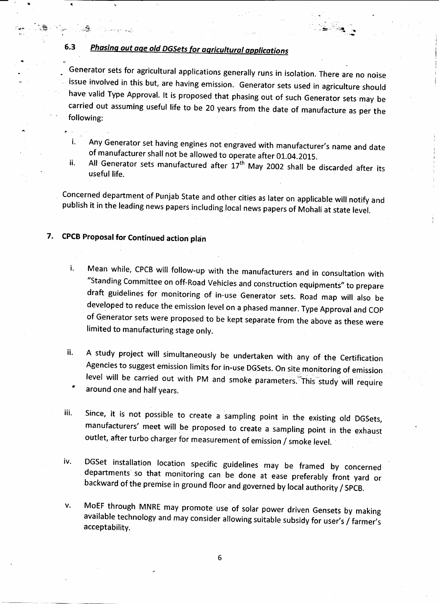## **6.3 Phasing out age old DGSets for agricultural applications**

Generator sets for agricultural applications generally runs in isolation. There are no noise issue involved in this but, are having emission. Generator sets used in agriculture should have valid Type Approval. It is proposed that phasing out of Such Generator sets may be carried out assuming useful life to be 20 years from the date of manufacture as per the following:

- i. Any Generator set having engines not engraved with manufacturer's name and date of manufacturer shall not be allowed to operate after 01.04.2015.
- ii. All Generator sets manufactured after 17<sup>th</sup> May 2002 shall be discarded after its useful life.

Concerned department of Punjab State and other cities as later on applicable will notify and publish it in the leading news papers including local news papers of Mohali at state level.

### **7. CPCB Proposal for Continued action plan**

**<r**

- Mean while, CPCB will follow-up with the manufacturers and in consultation with i. "Standing Committee on off-Road Vehicles and construction equipments" to prepare draft guidelines for monitoring of in-use Generator sets. Road map will also be developed to reduce the emission level on a phased manner. Type Approval and COP of Generator sets were proposed to be kept separate from the above as these were limited to manufacturing stage only.
- ii. A study project will simultaneously be undertaken with any of the Certification Agencies to suggest emission limits for in-use DGSets. On site monitoring of emission level will be carried out with PM and smoke parameters. This study will require around one and half years.
- iii. Since, it is not possible to create a sampling point in the existing old DGSets, manufacturers' meet will be proposed to create a sampling point in the exhaust outlet, after turbo charger for measurement of emission / smoke level.
- iv. DGSet installation location specific guidelines may be framed by concerned departments so that monitoring can be done at ease preferably front yard or backward of the premise in ground floor and governed by local authority / SPCB.
- MoEF through MNRE may promote use of solar power driven Gensets by making V.  $\frac{1}{2}$ allable technology and may consider allowing suitable subsidy  $f(x)$  farmer  $f(x)$ acceptability.

6